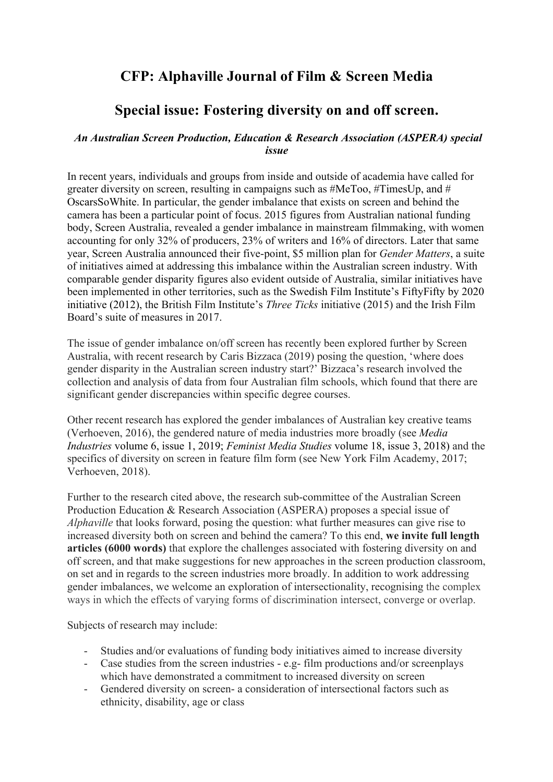# **CFP: Alphaville Journal of Film & Screen Media**

## **Special issue: Fostering diversity on and off screen.**

## *An Australian Screen Production, Education & Research Association (ASPERA) special issue*

In recent years, individuals and groups from inside and outside of academia have called for greater diversity on screen, resulting in campaigns such as #MeToo, #TimesUp, and # OscarsSoWhite. In particular, the gender imbalance that exists on screen and behind the camera has been a particular point of focus. 2015 figures from Australian national funding body, Screen Australia, revealed a gender imbalance in mainstream filmmaking, with women accounting for only 32% of producers, 23% of writers and 16% of directors. Later that same year, Screen Australia announced their five-point, \$5 million plan for *Gender Matters*, a suite of initiatives aimed at addressing this imbalance within the Australian screen industry. With comparable gender disparity figures also evident outside of Australia, similar initiatives have been implemented in other territories, such as the Swedish Film Institute's FiftyFifty by 2020 initiative (2012), the British Film Institute's *Three Ticks* initiative (2015) and the Irish Film Board's suite of measures in 2017.

The issue of gender imbalance on/off screen has recently been explored further by Screen Australia, with recent research by Caris Bizzaca (2019) posing the question, 'where does gender disparity in the Australian screen industry start?' Bizzaca's research involved the collection and analysis of data from four Australian film schools, which found that there are significant gender discrepancies within specific degree courses.

Other recent research has explored the gender imbalances of Australian key creative teams (Verhoeven, 2016), the gendered nature of media industries more broadly (see *Media Industries* volume 6, issue 1, 2019; *Feminist Media Studies* volume 18, issue 3, 2018) and the specifics of diversity on screen in feature film form (see New York Film Academy, 2017; Verhoeven, 2018).

Further to the research cited above, the research sub-committee of the Australian Screen Production Education & Research Association (ASPERA) proposes a special issue of *Alphaville* that looks forward, posing the question: what further measures can give rise to increased diversity both on screen and behind the camera? To this end, **we invite full length articles (6000 words)** that explore the challenges associated with fostering diversity on and off screen, and that make suggestions for new approaches in the screen production classroom, on set and in regards to the screen industries more broadly. In addition to work addressing gender imbalances, we welcome an exploration of intersectionality, recognising the complex ways in which the effects of varying forms of discrimination intersect, converge or overlap.

Subjects of research may include:

- Studies and/or evaluations of funding body initiatives aimed to increase diversity
- Case studies from the screen industries e.g- film productions and/or screenplays which have demonstrated a commitment to increased diversity on screen
- Gendered diversity on screen- a consideration of intersectional factors such as ethnicity, disability, age or class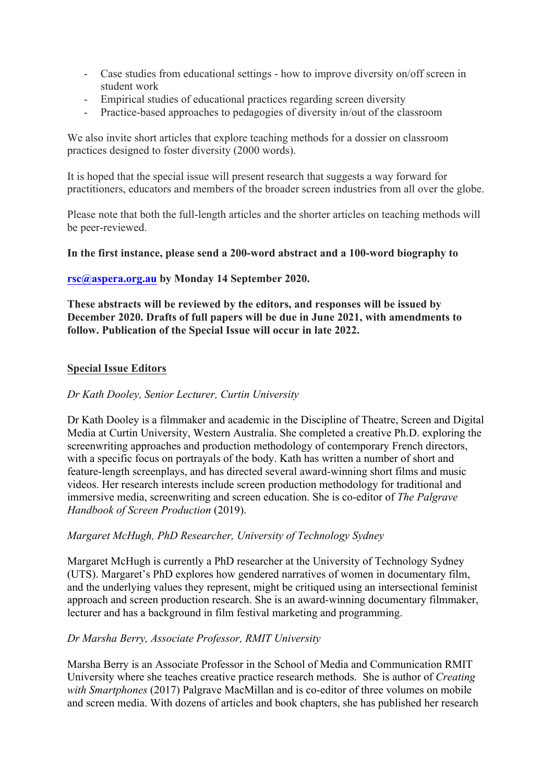- Case studies from educational settings how to improve diversity on/off screen in student work
- Empirical studies of educational practices regarding screen diversity
- Practice-based approaches to pedagogies of diversity in/out of the classroom

We also invite short articles that explore teaching methods for a dossier on classroom practices designed to foster diversity (2000 words).

It is hoped that the special issue will present research that suggests a way forward for practitioners, educators and members of the broader screen industries from all over the globe.

Please note that both the full-length articles and the shorter articles on teaching methods will be peer-reviewed.

## **In the first instance, please send a 200-word abstract and a 100-word biography to**

## **rsc@aspera.org.au by Monday 14 September 2020.**

**These abstracts will be reviewed by the editors, and responses will be issued by December 2020. Drafts of full papers will be due in June 2021, with amendments to follow. Publication of the Special Issue will occur in late 2022.** 

#### **Special Issue Editors**

#### *Dr Kath Dooley, Senior Lecturer, Curtin University*

Dr Kath Dooley is a filmmaker and academic in the Discipline of Theatre, Screen and Digital Media at Curtin University, Western Australia. She completed a creative Ph.D. exploring the screenwriting approaches and production methodology of contemporary French directors, with a specific focus on portrayals of the body. Kath has written a number of short and feature-length screenplays, and has directed several award-winning short films and music videos. Her research interests include screen production methodology for traditional and immersive media, screenwriting and screen education. She is co-editor of *The Palgrave Handbook of Screen Production* (2019).

## *Margaret McHugh, PhD Researcher, University of Technology Sydney*

Margaret McHugh is currently a PhD researcher at the University of Technology Sydney (UTS). Margaret's PhD explores how gendered narratives of women in documentary film, and the underlying values they represent, might be critiqued using an intersectional feminist approach and screen production research. She is an award-winning documentary filmmaker, lecturer and has a background in film festival marketing and programming.

## *Dr Marsha Berry, Associate Professor, RMIT University*

Marsha Berry is an Associate Professor in the School of Media and Communication RMIT University where she teaches creative practice research methods. She is author of *Creating with Smartphones* (2017) Palgrave MacMillan and is co-editor of three volumes on mobile and screen media. With dozens of articles and book chapters, she has published her research